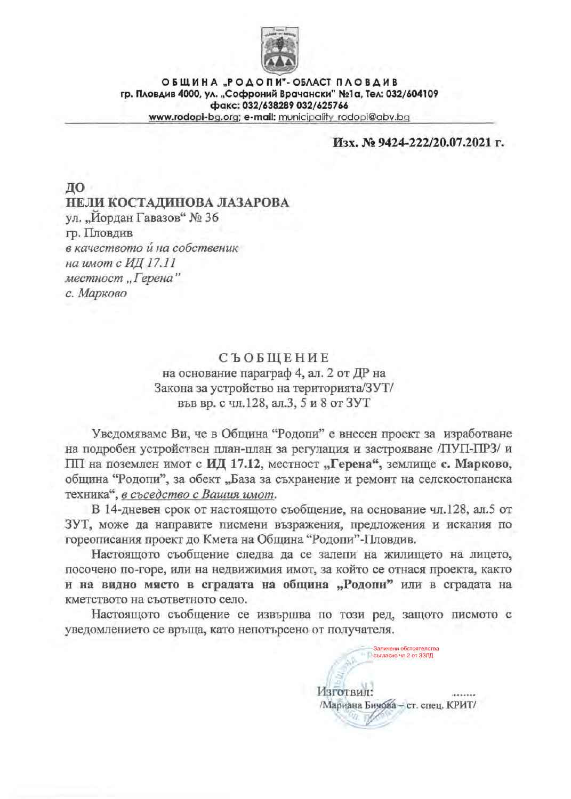

ОБЩИНА "РОДОПИ"-ОБЛАСТ ПЛОВДИВ гр. Пловдив 4000, ул. "Софроний Врачански" №1а, Тел: 032/604109 факс: 032/638289 032/625766 www.rodopi-bg.org; e-mail: municipality\_rodopi@abv.bg

## Изх. № 9424-222/20.07.2021 г.

ДО. НЕЛИ КОСТАДИНОВА ЛАЗАРОВА ул. "Йордан Гавазов" № 36 гр. Пловдив в качеството и на собственик на имот с ИД 17.11 местност "Герена" с. Марково

# **СЪОБЩЕНИЕ**

на основание параграф 4, ал. 2 от ДР на Закона за устройство на територията/ЗУТ/ във вр. с чл.128, ал.3, 5 и 8 от ЗУТ

Уведомяваме Ви, че в Община "Родопи" е внесен проект за изработване на подробен устройствен план-план за регулация и застрояване /ПУП-ПРЗ/ и ПП на поземлен имот с ИД 17.12, местност "Герена", землище с. Марково, община "Родопи", за обект "База за съхранение и ремонт на селскостопанска техника", в съседство с Вашия имот.

В 14-дневен срок от настоящото съобщение, на основание чл.128, ал.5 от ЗУТ, може да направите писмени възражения, предложения и искания по гореописания проект до Кмета на Община "Родопи"-Пловдив.

Настоящото съобщение следва да се залепи на жилището на лицето, посочено по-горе, или на недвижимия имот, за който се отнася проекта, както и на видно място в сградата на община "Родопи" или в сградата на кметството на съответното село.

Настоящото съобщение се извършва по този ред, защото писмото с уведомлението се връща, като непотърсено от получателя.

Заличени обстоятелства<br>Съгласно чл.2 от ЗЗЛД

/Мариана Бичова - ст. спец. КРИТ/

Изготвил: